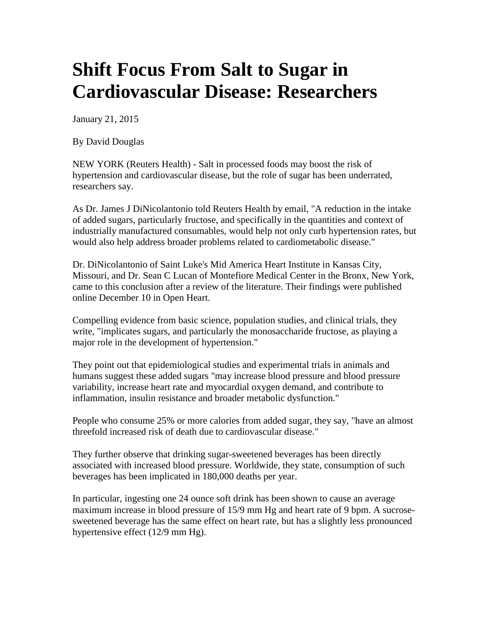## **Shift Focus From Salt to Sugar in Cardiovascular Disease: Researchers**

January 21, 2015

By David Douglas

NEW YORK (Reuters Health) - Salt in processed foods may boost the risk of hypertension and cardiovascular disease, but the role of sugar has been underrated, researchers say.

As Dr. James J DiNicolantonio told Reuters Health by email, "A reduction in the intake of added sugars, particularly fructose, and specifically in the quantities and context of industrially manufactured consumables, would help not only curb hypertension rates, but would also help address broader problems related to cardiometabolic disease."

Dr. DiNicolantonio of Saint Luke's Mid America Heart Institute in Kansas City, Missouri, and Dr. Sean C Lucan of Montefiore Medical Center in the Bronx, New York, came to this conclusion after a review of the literature. Their findings were published online December 10 in Open Heart.

Compelling evidence from basic science, population studies, and clinical trials, they write, "implicates sugars, and particularly the monosaccharide fructose, as playing a major role in the development of hypertension."

They point out that epidemiological studies and experimental trials in animals and humans suggest these added sugars "may increase blood pressure and blood pressure variability, increase heart rate and myocardial oxygen demand, and contribute to inflammation, insulin resistance and broader metabolic dysfunction."

People who consume 25% or more calories from added sugar, they say, "have an almost threefold increased risk of death due to cardiovascular disease."

They further observe that drinking sugar-sweetened beverages has been directly associated with increased blood pressure. Worldwide, they state, consumption of such beverages has been implicated in 180,000 deaths per year.

In particular, ingesting one 24 ounce soft drink has been shown to cause an average maximum increase in blood pressure of 15/9 mm Hg and heart rate of 9 bpm. A sucrosesweetened beverage has the same effect on heart rate, but has a slightly less pronounced hypertensive effect (12/9 mm Hg).